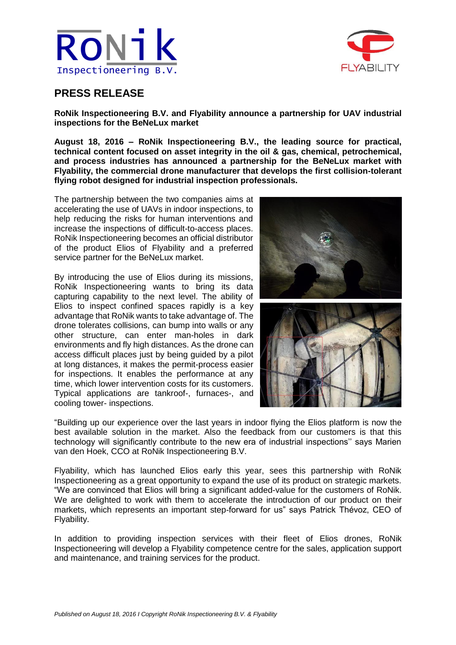



## **PRESS RELEASE**

**RoNik Inspectioneering B.V. and Flyability announce a partnership for UAV industrial inspections for the BeNeLux market**

**August 18, 2016 – RoNik Inspectioneering B.V., the leading source for practical, technical content focused on asset integrity in the oil & gas, chemical, petrochemical, and process industries has announced a partnership for the BeNeLux market with Flyability, the commercial drone manufacturer that develops the first collision-tolerant flying robot designed for industrial inspection professionals.**

The partnership between the two companies aims at accelerating the use of UAVs in indoor inspections, to help reducing the risks for human interventions and increase the inspections of difficult-to-access places. RoNik Inspectioneering becomes an official distributor of the product Elios of Flyability and a preferred service partner for the BeNeLux market.

By introducing the use of Elios during its missions, RoNik Inspectioneering wants to bring its data capturing capability to the next level. The ability of Elios to inspect confined spaces rapidly is a key advantage that RoNik wants to take advantage of. The drone tolerates collisions, can bump into walls or any other structure, can enter man-holes in dark environments and fly high distances. As the drone can access difficult places just by being guided by a pilot at long distances, it makes the permit-process easier for inspections. It enables the performance at any time, which lower intervention costs for its customers. Typical applications are tankroof-, furnaces-, and cooling tower- inspections.



"Building up our experience over the last years in indoor flying the Elios platform is now the best available solution in the market. Also the feedback from our customers is that this technology will significantly contribute to the new era of industrial inspections'' says Marien van den Hoek, CCO at RoNik Inspectioneering B.V.

Flyability, which has launched Elios early this year, sees this partnership with RoNik Inspectioneering as a great opportunity to expand the use of its product on strategic markets. "We are convinced that Elios will bring a significant added-value for the customers of RoNik. We are delighted to work with them to accelerate the introduction of our product on their markets, which represents an important step-forward for us" says Patrick Thévoz, CEO of Flyability.

In addition to providing inspection services with their fleet of Elios drones, RoNik Inspectioneering will develop a Flyability competence centre for the sales, application support and maintenance, and training services for the product.